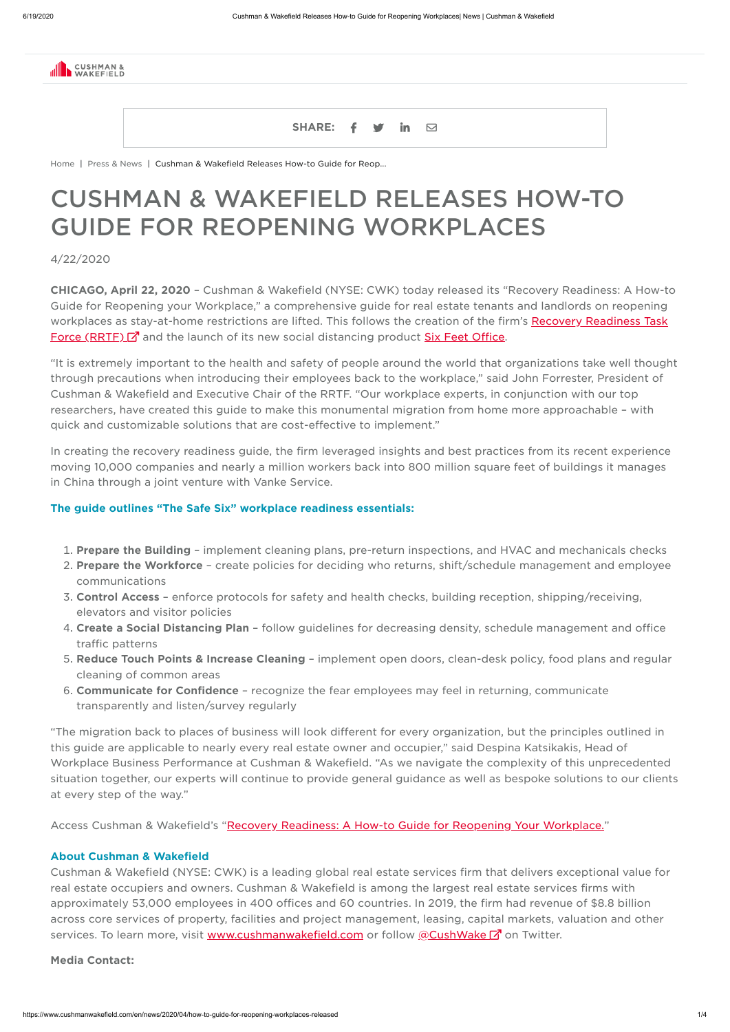

| <b>SHARE:</b> |  |  |  |  |
|---------------|--|--|--|--|
|---------------|--|--|--|--|

[Home](https://www.cushmanwakefield.com/en) | Press & [News](https://www.cushmanwakefield.com/en/news) | Cushman & Wakefield Releases How-to Guide for Reop...

CHICAGO, April 22, 2020 – Cushman & Wakefield (NYSE: CWK) today released its "Recovery Readiness: A How-to Guide for Reopening your Workplace," a comprehensive guide for real estate tenants and landlords on reopening workplaces as stay-at-home restrictions are lifted. This follows the creation of the firm's [Recovery Readiness](http://ir.cushmanwakefield.com/news/press-release-details/2020/Cushman--Wakefield-Announces-Creation-of-Recovery-Readiness-Task-Force-to-Prepare-Businesses-for-Post-COVID-19-Recovery/default.aspx) Task **Force (RRTF) 7** and the launch of its new social distancing product **Six Feet [Office](https://www.cushmanwakefield.com/en/netherlands/six-feet-office)**.

# CUSHMAN & WAKEFIELD RELEASES HOW-TO GUIDE FOR REOPENING WORKPLACES

4/22/2020

"It is extremely important to the health and safety of people around the world that organizations take well thought through precautions when introducing their employees back to the workplace," said John Forrester, President of Cushman & Wakefield and Executive Chair of the RRTF. "Our workplace experts, in conjunction with our top researchers, have created this guide to make this monumental migration from home more approachable – with quick and customizable solutions that are cost-effective to implement."

- 1. Prepare the Building implement cleaning plans, pre-return inspections, and HVAC and mechanicals checks
- 2. Prepare the Workforce create policies for deciding who returns, shift/schedule management and employee communications
- 3. Control Access enforce protocols for safety and health checks, building reception, shipping/receiving, elevators and visitor policies
- 4. Create a Social Distancing Plan follow guidelines for decreasing density, schedule management and office traffic patterns
- 5. Reduce Touch Points & Increase Cleaning implement open doors, clean-desk policy, food plans and regular cleaning of common areas
- 6. **Communicate for Confidence** recognize the fear employees may feel in returning, communicate transparently and listen/survey regularly

In creating the recovery readiness guide, the firm leveraged insights and best practices from its recent experience moving 10,000 companies and nearly a million workers back into 800 million square feet of buildings it manages in China through a joint venture with Vanke Service.

Cushman & Wakefield (NYSE: CWK) is a leading global real estate services firm that delivers exceptional value for real estate occupiers and owners. Cushman & Wakefield is among the largest real estate services firms with approximately 53,000 employees in 400 offices and 60 countries. In 2019, the firm had revenue of \$8.8 billion across core services of property, facilities and project management, leasing, capital markets, valuation and other services. To learn more, visit [www.cushmanwakefield.com](https://www.cushmanwakefield.com/en) or follow [@CushWake](https://www.twitter.com/cushwake) <sup>7</sup> on Twitter.

#### The guide outlines "The Safe Six" workplace readiness essentials:

"The migration back to places of business will look different for every organization, but the principles outlined in this guide are applicable to nearly every real estate owner and occupier," said Despina Katsikakis, Head of Workplace Business Performance at Cushman & Wakefield. "As we navigate the complexity of this unprecedented situation together, our experts will continue to provide general guidance as well as bespoke solutions to our clients at every step of the way."

Access Cushman & Wakefield's ["Recovery Readiness:](https://www.cushmanwakefield.com/en/insights/covid-19/recovery-readiness-a-how-to-guide-for-reopening-your-workplace) A How-to Guide for Reopening Your Workplace."

#### About Cushman & Wakefield

Media Contact: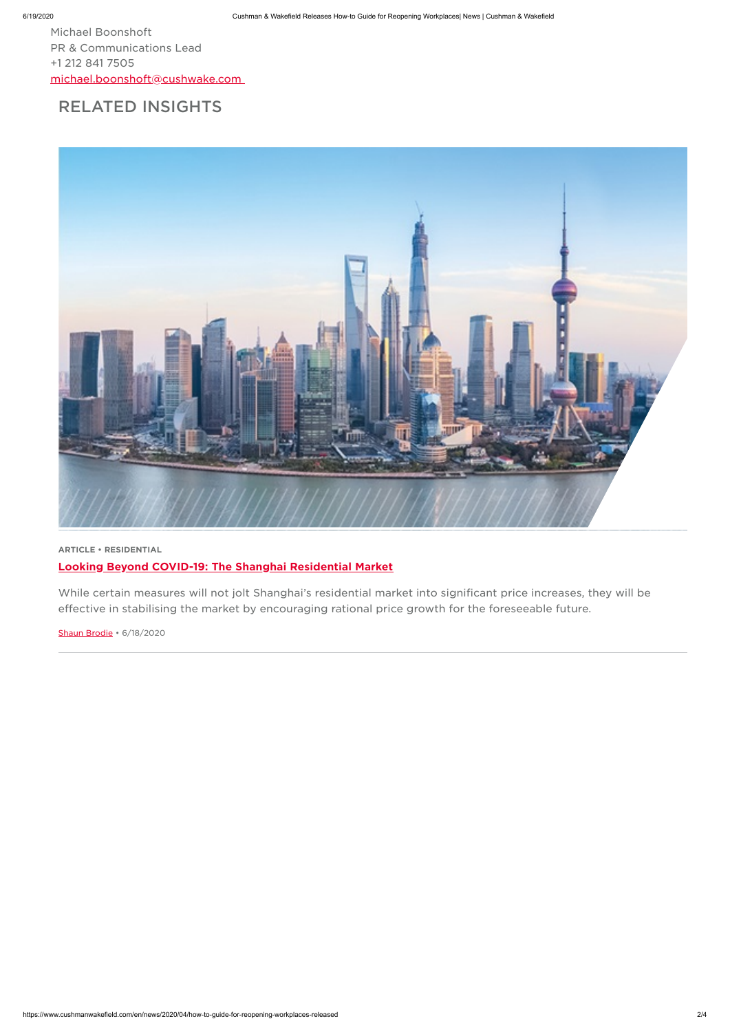https://www.cushmanwakefield.com/en/news/2020/04/how-to-guide-for-reopening-workplaces-released 2/4

Michael Boonshoft PR & Communications Lead +1 212 841 7505 [michael.boonshoft@cushwake.com](mailto:michael.boonshoft@cushwake.com)

# RELATED INSIGHTS



ARTICLE • RESIDENTIAL

Looking Beyond COVID-19: The Shanghai [Residential](https://www.cushmanwakefield.com/en/insights/covid-19/lessons-from-china/looking-beyond-covid-19-the-shanghai-residential-market) Market

While certain measures will not jolt Shanghai's residential market into significant price increases, they will be effective in stabilising the market by encouraging rational price growth for the foreseeable future.

Shaun [Brodie](https://www.cushmanwakefield.com/en/singapore/people/shaun-brodie) • 6/18/2020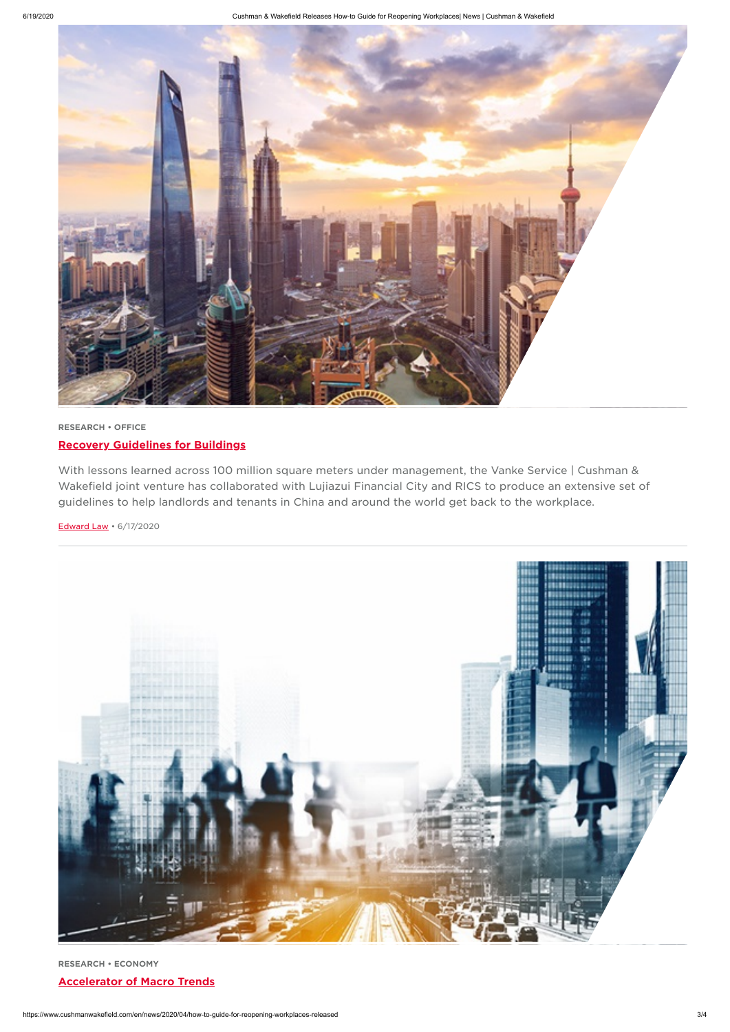

https://www.cushmanwakefield.com/en/news/2020/04/how-to-guide-for-reopening-workplaces-released 3/4

## RESEARCH • OFFICE Recovery [Guidelines](https://www.cushmanwakefield.com/en/insights/covid-19/lessons-from-china/recovery-guidelines-for-buildings-china-practice) for Buildings

With lessons learned across 100 million square meters under management, the Vanke Service | Cushman & Wakefield joint venture has collaborated with Lujiazui Financial City and RICS to produce an extensive set of guidelines to help landlords and tenants in China and around the world get back to the workplace.

#### [Edward](https://www.cushmanwakefield.com/en/singapore/people/edward-law) Law • 6/17/2020



RESEARCH • ECONOMY

#### [Accelerator](https://www.cushmanwakefield.com/en/insights/the-chief-economist/accelerator-of-macro-trends) of Macro Trends